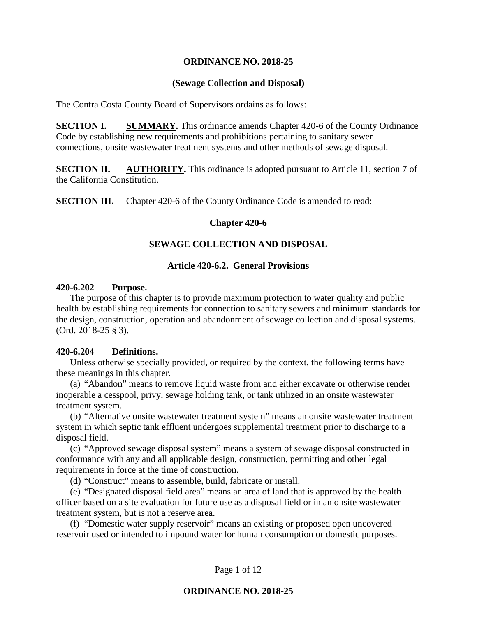# **ORDINANCE NO. 2018-25**

# **(Sewage Collection and Disposal)**

The Contra Costa County Board of Supervisors ordains as follows:

**SECTION I. SUMMARY.** This ordinance amends Chapter 420-6 of the County Ordinance Code by establishing new requirements and prohibitions pertaining to sanitary sewer connections, onsite wastewater treatment systems and other methods of sewage disposal.

**SECTION II. AUTHORITY.** This ordinance is adopted pursuant to Article 11, section 7 of the California Constitution.

**SECTION III.** Chapter 420-6 of the County Ordinance Code is amended to read:

### **Chapter 420-6**

# **SEWAGE COLLECTION AND DISPOSAL**

# **Article 420-6.2. General Provisions**

# **420-6.202 Purpose.**

The purpose of this chapter is to provide maximum protection to water quality and public health by establishing requirements for connection to sanitary sewers and minimum standards for the design, construction, operation and abandonment of sewage collection and disposal systems. (Ord. 2018-25 § 3).

# **420-6.204 Definitions.**

Unless otherwise specially provided, or required by the context, the following terms have these meanings in this chapter.

(a) "Abandon" means to remove liquid waste from and either excavate or otherwise render inoperable a cesspool, privy, sewage holding tank, or tank utilized in an onsite wastewater treatment system.

(b) "Alternative onsite wastewater treatment system" means an onsite wastewater treatment system in which septic tank effluent undergoes supplemental treatment prior to discharge to a disposal field.

(c) "Approved sewage disposal system" means a system of sewage disposal constructed in conformance with any and all applicable design, construction, permitting and other legal requirements in force at the time of construction.

(d) "Construct" means to assemble, build, fabricate or install.

(e) "Designated disposal field area" means an area of land that is approved by the health officer based on a site evaluation for future use as a disposal field or in an onsite wastewater treatment system, but is not a reserve area.

(f) "Domestic water supply reservoir" means an existing or proposed open uncovered reservoir used or intended to impound water for human consumption or domestic purposes.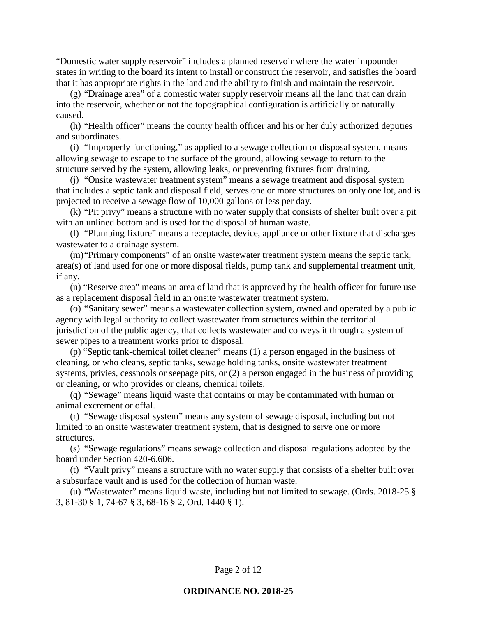"Domestic water supply reservoir" includes a planned reservoir where the water impounder states in writing to the board its intent to install or construct the reservoir, and satisfies the board that it has appropriate rights in the land and the ability to finish and maintain the reservoir.

(g) "Drainage area" of a domestic water supply reservoir means all the land that can drain into the reservoir, whether or not the topographical configuration is artificially or naturally caused.

(h) "Health officer" means the county health officer and his or her duly authorized deputies and subordinates.

(i) "Improperly functioning," as applied to a sewage collection or disposal system, means allowing sewage to escape to the surface of the ground, allowing sewage to return to the structure served by the system, allowing leaks, or preventing fixtures from draining.

(j) "Onsite wastewater treatment system" means a sewage treatment and disposal system that includes a septic tank and disposal field, serves one or more structures on only one lot, and is projected to receive a sewage flow of 10,000 gallons or less per day.

(k) "Pit privy" means a structure with no water supply that consists of shelter built over a pit with an unlined bottom and is used for the disposal of human waste.

(l) "Plumbing fixture" means a receptacle, device, appliance or other fixture that discharges wastewater to a drainage system.

(m)"Primary components" of an onsite wastewater treatment system means the septic tank, area(s) of land used for one or more disposal fields, pump tank and supplemental treatment unit, if any.

(n) "Reserve area" means an area of land that is approved by the health officer for future use as a replacement disposal field in an onsite wastewater treatment system.

(o) "Sanitary sewer" means a wastewater collection system, owned and operated by a public agency with legal authority to collect wastewater from structures within the territorial jurisdiction of the public agency, that collects wastewater and conveys it through a system of sewer pipes to a treatment works prior to disposal.

(p) "Septic tank-chemical toilet cleaner" means (1) a person engaged in the business of cleaning, or who cleans, septic tanks, sewage holding tanks, onsite wastewater treatment systems, privies, cesspools or seepage pits, or (2) a person engaged in the business of providing or cleaning, or who provides or cleans, chemical toilets.

(q) "Sewage" means liquid waste that contains or may be contaminated with human or animal excrement or offal.

(r) "Sewage disposal system" means any system of sewage disposal, including but not limited to an onsite wastewater treatment system, that is designed to serve one or more structures.

(s) "Sewage regulations" means sewage collection and disposal regulations adopted by the board under Section 420-6.606.

(t) "Vault privy" means a structure with no water supply that consists of a shelter built over a subsurface vault and is used for the collection of human waste.

(u) "Wastewater" means liquid waste, including but not limited to sewage. (Ords. 2018-25 § 3, 81-30 § 1, 74-67 § 3, 68-16 § 2, Ord. 1440 § 1).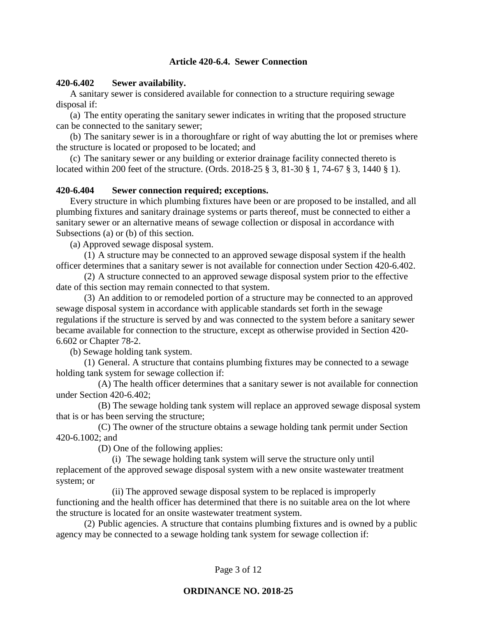# **Article 420-6.4. Sewer Connection**

# **420-6.402 Sewer availability.**

A sanitary sewer is considered available for connection to a structure requiring sewage disposal if:

(a) The entity operating the sanitary sewer indicates in writing that the proposed structure can be connected to the sanitary sewer;

(b) The sanitary sewer is in a thoroughfare or right of way abutting the lot or premises where the structure is located or proposed to be located; and

(c) The sanitary sewer or any building or exterior drainage facility connected thereto is located within 200 feet of the structure. (Ords. 2018-25 § 3, 81-30 § 1, 74-67 § 3, 1440 § 1).

# **420-6.404 Sewer connection required; exceptions.**

Every structure in which plumbing fixtures have been or are proposed to be installed, and all plumbing fixtures and sanitary drainage systems or parts thereof, must be connected to either a sanitary sewer or an alternative means of sewage collection or disposal in accordance with Subsections (a) or (b) of this section.

(a) Approved sewage disposal system.

(1) A structure may be connected to an approved sewage disposal system if the health officer determines that a sanitary sewer is not available for connection under Section 420-6.402.

(2) A structure connected to an approved sewage disposal system prior to the effective date of this section may remain connected to that system.

(3) An addition to or remodeled portion of a structure may be connected to an approved sewage disposal system in accordance with applicable standards set forth in the sewage regulations if the structure is served by and was connected to the system before a sanitary sewer became available for connection to the structure, except as otherwise provided in Section 420- 6.602 or Chapter 78-2.

(b) Sewage holding tank system.

(1) General. A structure that contains plumbing fixtures may be connected to a sewage holding tank system for sewage collection if:

(A) The health officer determines that a sanitary sewer is not available for connection under Section 420-6.402;

(B) The sewage holding tank system will replace an approved sewage disposal system that is or has been serving the structure;

(C) The owner of the structure obtains a sewage holding tank permit under Section 420-6.1002; and

(D) One of the following applies:

(i) The sewage holding tank system will serve the structure only until replacement of the approved sewage disposal system with a new onsite wastewater treatment system; or

(ii) The approved sewage disposal system to be replaced is improperly functioning and the health officer has determined that there is no suitable area on the lot where the structure is located for an onsite wastewater treatment system.

(2) Public agencies. A structure that contains plumbing fixtures and is owned by a public agency may be connected to a sewage holding tank system for sewage collection if: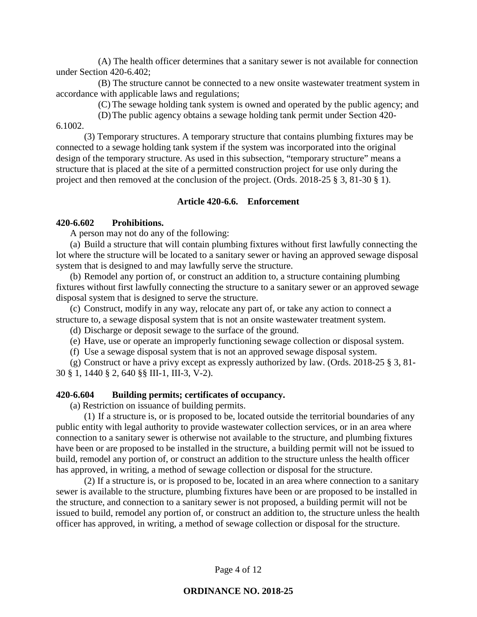(A) The health officer determines that a sanitary sewer is not available for connection under Section 420-6.402;

(B) The structure cannot be connected to a new onsite wastewater treatment system in accordance with applicable laws and regulations;

(C) The sewage holding tank system is owned and operated by the public agency; and

(D)The public agency obtains a sewage holding tank permit under Section 420- 6.1002.

(3) Temporary structures. A temporary structure that contains plumbing fixtures may be connected to a sewage holding tank system if the system was incorporated into the original design of the temporary structure. As used in this subsection, "temporary structure" means a structure that is placed at the site of a permitted construction project for use only during the project and then removed at the conclusion of the project. (Ords. 2018-25 § 3, 81-30 § 1).

# **Article 420-6.6. Enforcement**

### **420-6.602 Prohibitions.**

A person may not do any of the following:

(a) Build a structure that will contain plumbing fixtures without first lawfully connecting the lot where the structure will be located to a sanitary sewer or having an approved sewage disposal system that is designed to and may lawfully serve the structure.

(b) Remodel any portion of, or construct an addition to, a structure containing plumbing fixtures without first lawfully connecting the structure to a sanitary sewer or an approved sewage disposal system that is designed to serve the structure.

(c) Construct, modify in any way, relocate any part of, or take any action to connect a structure to, a sewage disposal system that is not an onsite wastewater treatment system.

(d) Discharge or deposit sewage to the surface of the ground.

(e) Have, use or operate an improperly functioning sewage collection or disposal system.

(f) Use a sewage disposal system that is not an approved sewage disposal system.

(g) Construct or have a privy except as expressly authorized by law. (Ords. 2018-25 § 3, 81- 30 § 1, 1440 § 2, 640 §§ III-1, III-3, V-2).

#### **420-6.604 Building permits; certificates of occupancy.**

(a) Restriction on issuance of building permits.

(1) If a structure is, or is proposed to be, located outside the territorial boundaries of any public entity with legal authority to provide wastewater collection services, or in an area where connection to a sanitary sewer is otherwise not available to the structure, and plumbing fixtures have been or are proposed to be installed in the structure, a building permit will not be issued to build, remodel any portion of, or construct an addition to the structure unless the health officer has approved, in writing, a method of sewage collection or disposal for the structure.

(2) If a structure is, or is proposed to be, located in an area where connection to a sanitary sewer is available to the structure, plumbing fixtures have been or are proposed to be installed in the structure, and connection to a sanitary sewer is not proposed, a building permit will not be issued to build, remodel any portion of, or construct an addition to, the structure unless the health officer has approved, in writing, a method of sewage collection or disposal for the structure.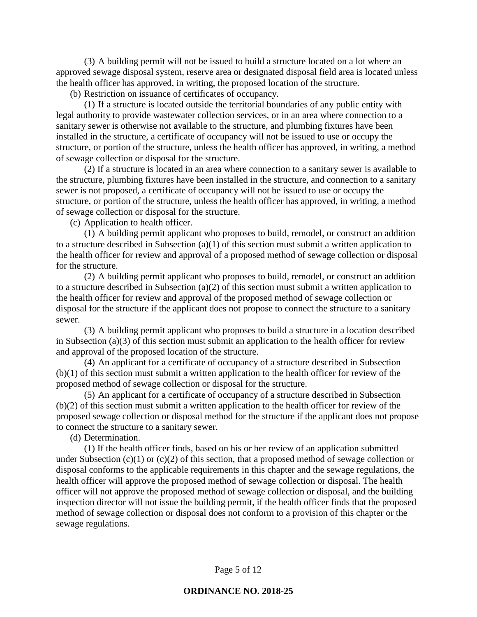(3) A building permit will not be issued to build a structure located on a lot where an approved sewage disposal system, reserve area or designated disposal field area is located unless the health officer has approved, in writing, the proposed location of the structure.

(b) Restriction on issuance of certificates of occupancy.

(1) If a structure is located outside the territorial boundaries of any public entity with legal authority to provide wastewater collection services, or in an area where connection to a sanitary sewer is otherwise not available to the structure, and plumbing fixtures have been installed in the structure, a certificate of occupancy will not be issued to use or occupy the structure, or portion of the structure, unless the health officer has approved, in writing, a method of sewage collection or disposal for the structure.

(2) If a structure is located in an area where connection to a sanitary sewer is available to the structure, plumbing fixtures have been installed in the structure, and connection to a sanitary sewer is not proposed, a certificate of occupancy will not be issued to use or occupy the structure, or portion of the structure, unless the health officer has approved, in writing, a method of sewage collection or disposal for the structure.

(c) Application to health officer.

(1) A building permit applicant who proposes to build, remodel, or construct an addition to a structure described in Subsection (a)(1) of this section must submit a written application to the health officer for review and approval of a proposed method of sewage collection or disposal for the structure.

(2) A building permit applicant who proposes to build, remodel, or construct an addition to a structure described in Subsection (a)(2) of this section must submit a written application to the health officer for review and approval of the proposed method of sewage collection or disposal for the structure if the applicant does not propose to connect the structure to a sanitary sewer.

(3) A building permit applicant who proposes to build a structure in a location described in Subsection (a)(3) of this section must submit an application to the health officer for review and approval of the proposed location of the structure.

(4) An applicant for a certificate of occupancy of a structure described in Subsection (b)(1) of this section must submit a written application to the health officer for review of the proposed method of sewage collection or disposal for the structure.

(5) An applicant for a certificate of occupancy of a structure described in Subsection (b)(2) of this section must submit a written application to the health officer for review of the proposed sewage collection or disposal method for the structure if the applicant does not propose to connect the structure to a sanitary sewer.

(d) Determination.

(1) If the health officer finds, based on his or her review of an application submitted under Subsection  $(c)(1)$  or  $(c)(2)$  of this section, that a proposed method of sewage collection or disposal conforms to the applicable requirements in this chapter and the sewage regulations, the health officer will approve the proposed method of sewage collection or disposal. The health officer will not approve the proposed method of sewage collection or disposal, and the building inspection director will not issue the building permit, if the health officer finds that the proposed method of sewage collection or disposal does not conform to a provision of this chapter or the sewage regulations.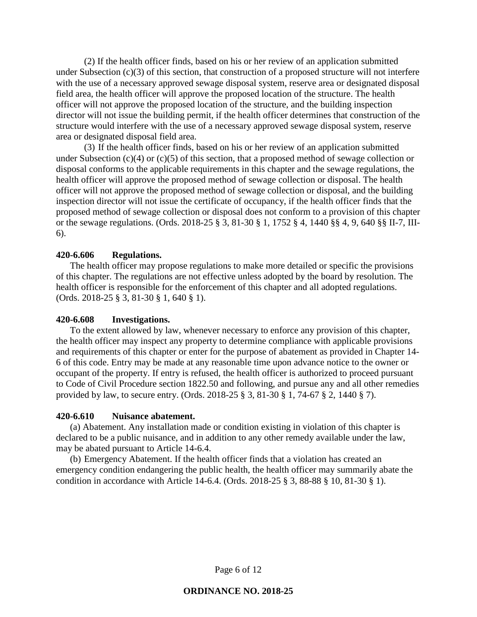(2) If the health officer finds, based on his or her review of an application submitted under Subsection (c)(3) of this section, that construction of a proposed structure will not interfere with the use of a necessary approved sewage disposal system, reserve area or designated disposal field area, the health officer will approve the proposed location of the structure. The health officer will not approve the proposed location of the structure, and the building inspection director will not issue the building permit, if the health officer determines that construction of the structure would interfere with the use of a necessary approved sewage disposal system, reserve area or designated disposal field area.

(3) If the health officer finds, based on his or her review of an application submitted under Subsection (c)(4) or (c)(5) of this section, that a proposed method of sewage collection or disposal conforms to the applicable requirements in this chapter and the sewage regulations, the health officer will approve the proposed method of sewage collection or disposal. The health officer will not approve the proposed method of sewage collection or disposal, and the building inspection director will not issue the certificate of occupancy, if the health officer finds that the proposed method of sewage collection or disposal does not conform to a provision of this chapter or the sewage regulations. (Ords. 2018-25 § 3, 81-30 § 1, 1752 § 4, 1440 §§ 4, 9, 640 §§ II-7, III-6).

# **420-6.606 Regulations.**

The health officer may propose regulations to make more detailed or specific the provisions of this chapter. The regulations are not effective unless adopted by the board by resolution. The health officer is responsible for the enforcement of this chapter and all adopted regulations. (Ords. 2018-25 § 3, 81-30 § 1, 640 § 1).

# **420-6.608 Investigations.**

To the extent allowed by law, whenever necessary to enforce any provision of this chapter, the health officer may inspect any property to determine compliance with applicable provisions and requirements of this chapter or enter for the purpose of abatement as provided in Chapter 14- 6 of this code. Entry may be made at any reasonable time upon advance notice to the owner or occupant of the property. If entry is refused, the health officer is authorized to proceed pursuant to Code of Civil Procedure section 1822.50 and following, and pursue any and all other remedies provided by law, to secure entry. (Ords. 2018-25 § 3, 81-30 § 1, 74-67 § 2, 1440 § 7).

### **420-6.610 Nuisance abatement.**

(a) Abatement. Any installation made or condition existing in violation of this chapter is declared to be a public nuisance, and in addition to any other remedy available under the law, may be abated pursuant to Article 14-6.4.

(b) Emergency Abatement. If the health officer finds that a violation has created an emergency condition endangering the public health, the health officer may summarily abate the condition in accordance with Article 14-6.4. (Ords. 2018-25 § 3, 88-88 § 10, 81-30 § 1).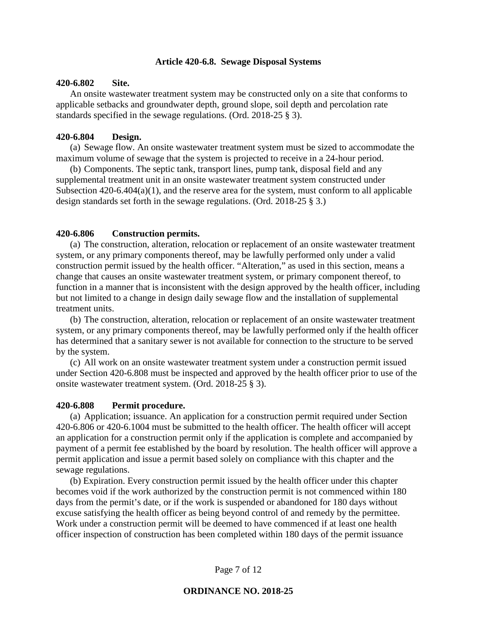### **Article 420-6.8. Sewage Disposal Systems**

### **420-6.802 Site.**

An onsite wastewater treatment system may be constructed only on a site that conforms to applicable setbacks and groundwater depth, ground slope, soil depth and percolation rate standards specified in the sewage regulations. (Ord. 2018-25 § 3).

#### **420-6.804 Design.**

(a) Sewage flow. An onsite wastewater treatment system must be sized to accommodate the maximum volume of sewage that the system is projected to receive in a 24-hour period.

(b) Components. The septic tank, transport lines, pump tank, disposal field and any supplemental treatment unit in an onsite wastewater treatment system constructed under Subsection  $420-6.404(a)(1)$ , and the reserve area for the system, must conform to all applicable design standards set forth in the sewage regulations. (Ord. 2018-25 § 3.)

#### **420-6.806 Construction permits.**

(a) The construction, alteration, relocation or replacement of an onsite wastewater treatment system, or any primary components thereof, may be lawfully performed only under a valid construction permit issued by the health officer. "Alteration," as used in this section, means a change that causes an onsite wastewater treatment system, or primary component thereof, to function in a manner that is inconsistent with the design approved by the health officer, including but not limited to a change in design daily sewage flow and the installation of supplemental treatment units.

(b) The construction, alteration, relocation or replacement of an onsite wastewater treatment system, or any primary components thereof, may be lawfully performed only if the health officer has determined that a sanitary sewer is not available for connection to the structure to be served by the system.

(c) All work on an onsite wastewater treatment system under a construction permit issued under Section 420-6.808 must be inspected and approved by the health officer prior to use of the onsite wastewater treatment system. (Ord. 2018-25 § 3).

### **420-6.808 Permit procedure.**

(a) Application; issuance. An application for a construction permit required under Section 420-6.806 or 420-6.1004 must be submitted to the health officer. The health officer will accept an application for a construction permit only if the application is complete and accompanied by payment of a permit fee established by the board by resolution. The health officer will approve a permit application and issue a permit based solely on compliance with this chapter and the sewage regulations.

(b) Expiration. Every construction permit issued by the health officer under this chapter becomes void if the work authorized by the construction permit is not commenced within 180 days from the permit's date, or if the work is suspended or abandoned for 180 days without excuse satisfying the health officer as being beyond control of and remedy by the permittee. Work under a construction permit will be deemed to have commenced if at least one health officer inspection of construction has been completed within 180 days of the permit issuance

Page 7 of 12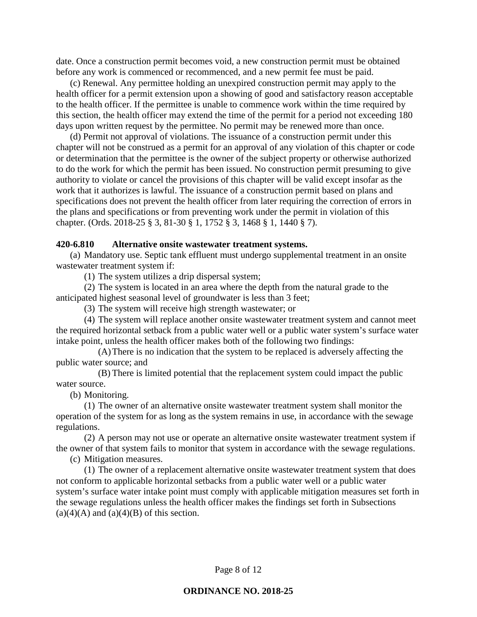date. Once a construction permit becomes void, a new construction permit must be obtained before any work is commenced or recommenced, and a new permit fee must be paid.

(c) Renewal. Any permittee holding an unexpired construction permit may apply to the health officer for a permit extension upon a showing of good and satisfactory reason acceptable to the health officer. If the permittee is unable to commence work within the time required by this section, the health officer may extend the time of the permit for a period not exceeding 180 days upon written request by the permittee. No permit may be renewed more than once.

(d) Permit not approval of violations. The issuance of a construction permit under this chapter will not be construed as a permit for an approval of any violation of this chapter or code or determination that the permittee is the owner of the subject property or otherwise authorized to do the work for which the permit has been issued. No construction permit presuming to give authority to violate or cancel the provisions of this chapter will be valid except insofar as the work that it authorizes is lawful. The issuance of a construction permit based on plans and specifications does not prevent the health officer from later requiring the correction of errors in the plans and specifications or from preventing work under the permit in violation of this chapter. (Ords. 2018-25 § 3, 81-30 § 1, 1752 § 3, 1468 § 1, 1440 § 7).

### **420-6.810 Alternative onsite wastewater treatment systems.**

(a) Mandatory use. Septic tank effluent must undergo supplemental treatment in an onsite wastewater treatment system if:

(1) The system utilizes a drip dispersal system;

(2) The system is located in an area where the depth from the natural grade to the anticipated highest seasonal level of groundwater is less than 3 feet;

(3) The system will receive high strength wastewater; or

(4) The system will replace another onsite wastewater treatment system and cannot meet the required horizontal setback from a public water well or a public water system's surface water intake point, unless the health officer makes both of the following two findings:

(A)There is no indication that the system to be replaced is adversely affecting the public water source; and

(B) There is limited potential that the replacement system could impact the public water source.

(b) Monitoring.

(1) The owner of an alternative onsite wastewater treatment system shall monitor the operation of the system for as long as the system remains in use, in accordance with the sewage regulations.

(2) A person may not use or operate an alternative onsite wastewater treatment system if the owner of that system fails to monitor that system in accordance with the sewage regulations.

(c) Mitigation measures.

(1) The owner of a replacement alternative onsite wastewater treatment system that does not conform to applicable horizontal setbacks from a public water well or a public water system's surface water intake point must comply with applicable mitigation measures set forth in the sewage regulations unless the health officer makes the findings set forth in Subsections  $(a)(4)(A)$  and  $(a)(4)(B)$  of this section.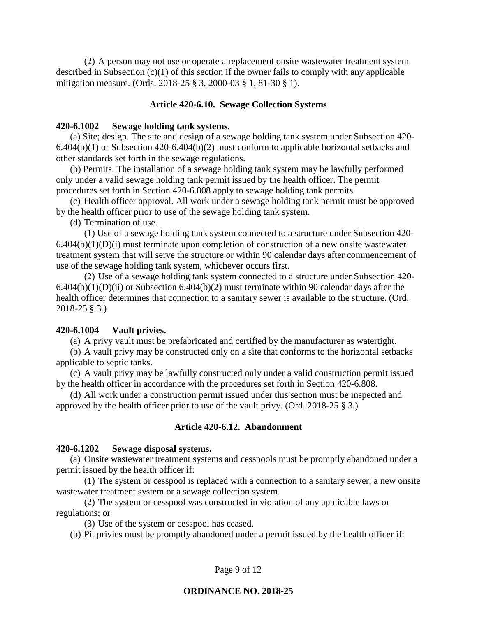(2) A person may not use or operate a replacement onsite wastewater treatment system described in Subsection (c)(1) of this section if the owner fails to comply with any applicable mitigation measure. (Ords. 2018-25 § 3, 2000-03 § 1, 81-30 § 1).

### **Article 420-6.10. Sewage Collection Systems**

### **420-6.1002 Sewage holding tank systems.**

(a) Site; design. The site and design of a sewage holding tank system under Subsection 420- 6.404(b)(1) or Subsection 420-6.404(b)(2) must conform to applicable horizontal setbacks and other standards set forth in the sewage regulations.

(b) Permits. The installation of a sewage holding tank system may be lawfully performed only under a valid sewage holding tank permit issued by the health officer. The permit procedures set forth in Section 420-6.808 apply to sewage holding tank permits.

(c) Health officer approval. All work under a sewage holding tank permit must be approved by the health officer prior to use of the sewage holding tank system.

(d) Termination of use.

(1) Use of a sewage holding tank system connected to a structure under Subsection 420-  $6.404(b)(1)(D)(i)$  must terminate upon completion of construction of a new onsite wastewater treatment system that will serve the structure or within 90 calendar days after commencement of use of the sewage holding tank system, whichever occurs first.

(2) Use of a sewage holding tank system connected to a structure under Subsection 420-  $6.404(b)(1)(D)(ii)$  or Subsection  $6.404(b)(2)$  must terminate within 90 calendar days after the health officer determines that connection to a sanitary sewer is available to the structure. (Ord. 2018-25 § 3.)

#### **420-6.1004 Vault privies.**

(a) A privy vault must be prefabricated and certified by the manufacturer as watertight.

(b) A vault privy may be constructed only on a site that conforms to the horizontal setbacks applicable to septic tanks.

(c) A vault privy may be lawfully constructed only under a valid construction permit issued by the health officer in accordance with the procedures set forth in Section 420-6.808.

(d) All work under a construction permit issued under this section must be inspected and approved by the health officer prior to use of the vault privy. (Ord. 2018-25 § 3.)

### **Article 420-6.12. Abandonment**

#### **420-6.1202 Sewage disposal systems.**

(a) Onsite wastewater treatment systems and cesspools must be promptly abandoned under a permit issued by the health officer if:

(1) The system or cesspool is replaced with a connection to a sanitary sewer, a new onsite wastewater treatment system or a sewage collection system.

(2) The system or cesspool was constructed in violation of any applicable laws or regulations; or

(3) Use of the system or cesspool has ceased.

(b) Pit privies must be promptly abandoned under a permit issued by the health officer if: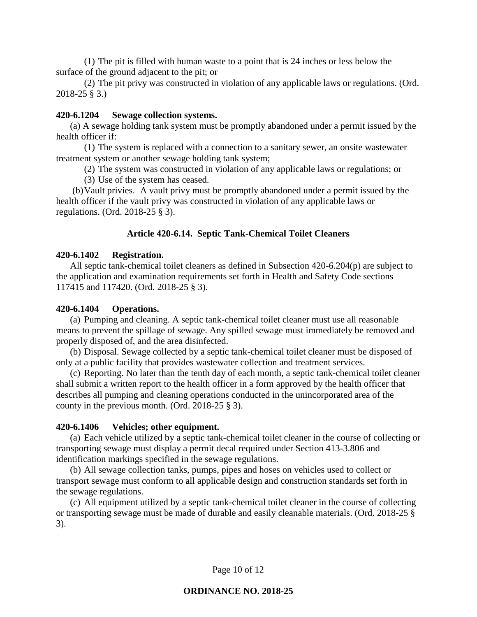(1) The pit is filled with human waste to a point that is 24 inches or less below the surface of the ground adjacent to the pit; or

(2) The pit privy was constructed in violation of any applicable laws or regulations. (Ord. 2018-25 § 3.)

### **420-6.1204 Sewage collection systems.**

(a) A sewage holding tank system must be promptly abandoned under a permit issued by the health officer if:

(1) The system is replaced with a connection to a sanitary sewer, an onsite wastewater treatment system or another sewage holding tank system;

(2) The system was constructed in violation of any applicable laws or regulations; or

(3) Use of the system has ceased.

(b)Vault privies. A vault privy must be promptly abandoned under a permit issued by the health officer if the vault privy was constructed in violation of any applicable laws or regulations. (Ord. 2018-25 § 3).

### **Article 420-6.14. Septic Tank-Chemical Toilet Cleaners**

### **420-6.1402 Registration.**

All septic tank-chemical toilet cleaners as defined in Subsection 420-6.204(p) are subject to the application and examination requirements set forth in Health and Safety Code sections 117415 and 117420. (Ord. 2018-25 § 3).

#### **420-6.1404 Operations.**

(a) Pumping and cleaning. A septic tank-chemical toilet cleaner must use all reasonable means to prevent the spillage of sewage. Any spilled sewage must immediately be removed and properly disposed of, and the area disinfected.

(b) Disposal. Sewage collected by a septic tank-chemical toilet cleaner must be disposed of only at a public facility that provides wastewater collection and treatment services.

(c) Reporting. No later than the tenth day of each month, a septic tank-chemical toilet cleaner shall submit a written report to the health officer in a form approved by the health officer that describes all pumping and cleaning operations conducted in the unincorporated area of the county in the previous month. (Ord. 2018-25 § 3).

#### **420-6.1406 Vehicles; other equipment.**

(a) Each vehicle utilized by a septic tank-chemical toilet cleaner in the course of collecting or transporting sewage must display a permit decal required under Section 413-3.806 and identification markings specified in the sewage regulations.

(b) All sewage collection tanks, pumps, pipes and hoses on vehicles used to collect or transport sewage must conform to all applicable design and construction standards set forth in the sewage regulations.

(c) All equipment utilized by a septic tank-chemical toilet cleaner in the course of collecting or transporting sewage must be made of durable and easily cleanable materials. (Ord. 2018-25 § 3).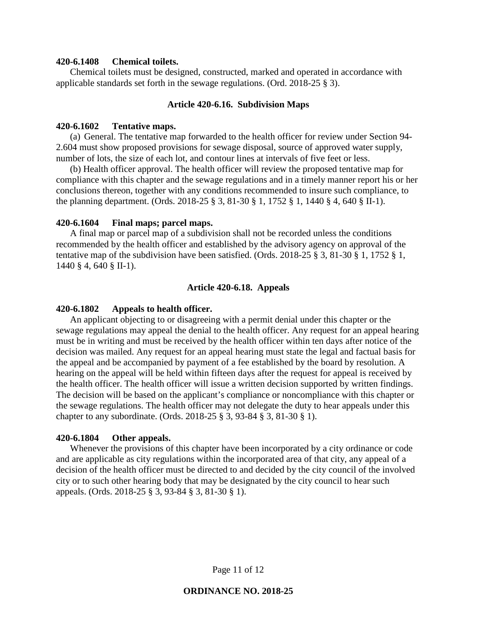### **420-6.1408 Chemical toilets.**

Chemical toilets must be designed, constructed, marked and operated in accordance with applicable standards set forth in the sewage regulations. (Ord. 2018-25 § 3).

### **Article 420-6.16. Subdivision Maps**

### **420-6.1602 Tentative maps.**

(a) General. The tentative map forwarded to the health officer for review under Section 94- 2.604 must show proposed provisions for sewage disposal, source of approved water supply, number of lots, the size of each lot, and contour lines at intervals of five feet or less.

(b) Health officer approval. The health officer will review the proposed tentative map for compliance with this chapter and the sewage regulations and in a timely manner report his or her conclusions thereon, together with any conditions recommended to insure such compliance, to the planning department. (Ords. 2018-25 § 3, 81-30 § 1, 1752 § 1, 1440 § 4, 640 § II-1).

#### **420-6.1604 Final maps; parcel maps.**

A final map or parcel map of a subdivision shall not be recorded unless the conditions recommended by the health officer and established by the advisory agency on approval of the tentative map of the subdivision have been satisfied. (Ords. 2018-25 § 3, 81-30 § 1, 1752 § 1, 1440 § 4, 640 § II-1).

### **Article 420-6.18. Appeals**

#### **420-6.1802 Appeals to health officer.**

An applicant objecting to or disagreeing with a permit denial under this chapter or the sewage regulations may appeal the denial to the health officer. Any request for an appeal hearing must be in writing and must be received by the health officer within ten days after notice of the decision was mailed. Any request for an appeal hearing must state the legal and factual basis for the appeal and be accompanied by payment of a fee established by the board by resolution. A hearing on the appeal will be held within fifteen days after the request for appeal is received by the health officer. The health officer will issue a written decision supported by written findings. The decision will be based on the applicant's compliance or noncompliance with this chapter or the sewage regulations. The health officer may not delegate the duty to hear appeals under this chapter to any subordinate. (Ords. 2018-25 § 3, 93-84 § 3, 81-30 § 1).

#### **420-6.1804 Other appeals.**

Whenever the provisions of this chapter have been incorporated by a city ordinance or code and are applicable as city regulations within the incorporated area of that city, any appeal of a decision of the health officer must be directed to and decided by the city council of the involved city or to such other hearing body that may be designated by the city council to hear such appeals. (Ords. 2018-25 § 3, 93-84 § 3, 81-30 § 1).